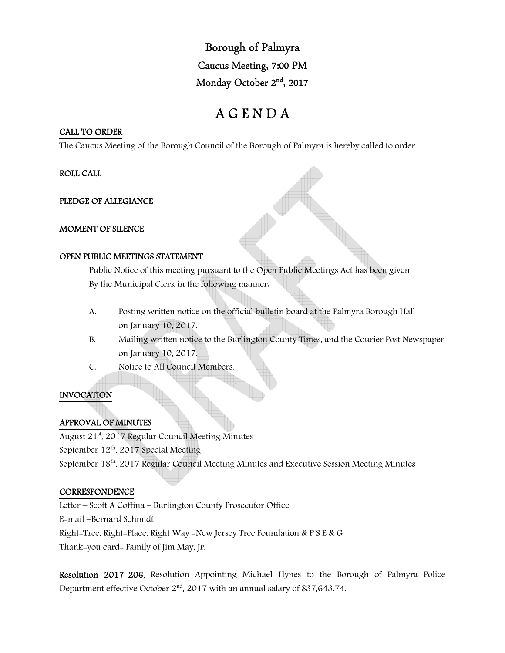Borough of Palmyra Caucus Meeting, 7:00 PM Monday October 2<sup>nd</sup>, 2017

# A G E N D A

#### CALL TO ORDER

The Caucus Meeting of the Borough Council of the Borough of Palmyra is hereby called to order

#### ROLL CALL

#### PLEDGE OF ALLEGIANCE

#### MOMENT OF SILENCE

#### OPEN PUBLIC MEETINGS STATEMENT

 Public Notice of this meeting pursuant to the Open Public Meetings Act has been given By the Municipal Clerk in the following manner:

- A. Posting written notice on the official bulletin board at the Palmyra Borough Hall on January 10, 2017.
- B. Mailing written notice to the Burlington County Times, and the Courier Post Newspaper on January 10, 2017.
- C. Notice to All Council Members.

# INVOCATION

# APPROVAL OF MINUTES

August 21<sup>st</sup>, 2017 Regular Council Meeting Minutes

September 12<sup>th</sup>, 2017 Special Meeting

September 18<sup>th</sup>, 2017 Regular Council Meeting Minutes and Executive Session Meeting Minutes

# **CORRESPONDENCE**

Letter – Scott A Coffina – Burlington County Prosecutor Office E-mail –Bernard Schmidt Right-Tree, Right-Place, Right Way -New Jersey Tree Foundation & P S E & G Thank-you card- Family of Jim May, Jr.

Resolution 2017-206, Resolution Appointing Michael Hynes to the Borough of Palmyra Police Department effective October  $2<sup>nd</sup>$ , 2017 with an annual salary of \$37,643.74.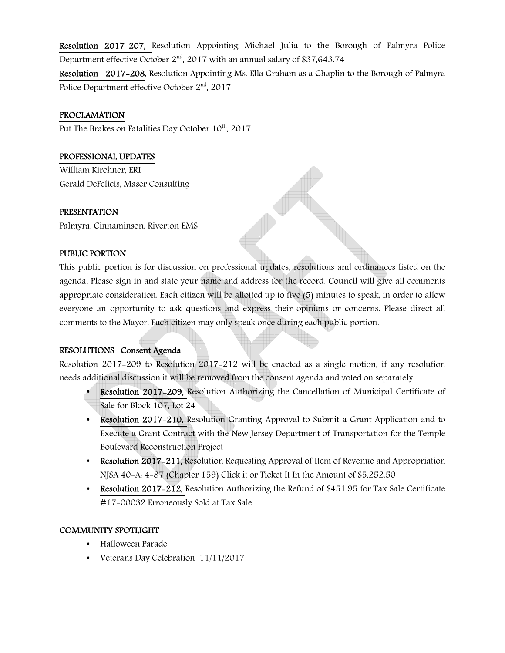Resolution 2017-207, Resolution Appointing Michael Julia to the Borough of Palmyra Police Department effective October  $2<sup>nd</sup>$ , 2017 with an annual salary of \$37,643.74

Resolution 2017-208, Resolution Appointing Ms. Ella Graham as a Chaplin to the Borough of Palmyra Police Department effective October 2nd, 2017

# PROCLAMATION

Put The Brakes on Fatalities Day October 10<sup>th</sup>, 2017

# PROFESSIONAL UPDATES

William Kirchner, ERI Gerald DeFelicis, Maser Consulting

# PRESENTATION

Palmyra, Cinnaminson, Riverton EMS

# PUBLIC PORTION

This public portion is for discussion on professional updates, resolutions and ordinances listed on the agenda. Please sign in and state your name and address for the record. Council will give all comments appropriate consideration. Each citizen will be allotted up to five (5) minutes to speak, in order to allow everyone an opportunity to ask questions and express their opinions or concerns. Please direct all comments to the Mayor. Each citizen may only speak once during each public portion.

# RESOLUTIONS Consent Agenda

Resolution 2017-209 to Resolution 2017-212 will be enacted as a single motion, if any resolution needs additional discussion it will be removed from the consent agenda and voted on separately.

- Resolution 2017-209, Resolution Authorizing the Cancellation of Municipal Certificate of Sale for Block 107, Lot 24
- Resolution 2017–210, Resolution Granting Approval to Submit a Grant Application and to Execute a Grant Contract with the New Jersey Department of Transportation for the Temple Boulevard Reconstruction Project
- Resolution 2017–211, Resolution Requesting Approval of Item of Revenue and Appropriation NJSA 40-A: 4-87 (Chapter 159) Click it or Ticket It In the Amount of \$5,252.50
- Resolution 2017-212, Resolution Authorizing the Refund of \$451.95 for Tax Sale Certificate #17-00032 Erroneously Sold at Tax Sale

# COMMUNITY SPOTLIGHT

- Halloween Parade
- Veterans Day Celebration 11/11/2017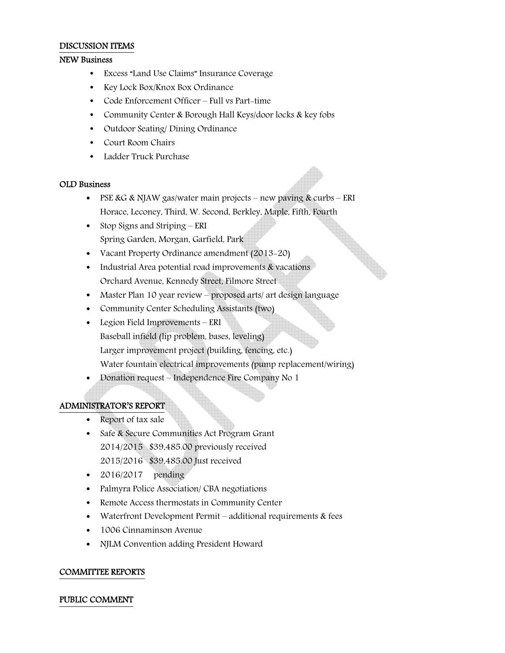#### DISCUSSION ITEMS

#### NEW Business

- Excess "Land Use Claims" Insurance Coverage
- Key Lock Box/Knox Box Ordinance
- Code Enforcement Officer Full vs Part-time
- Community Center & Borough Hall Keys/door locks & key fobs
- Outdoor Seating/Dining Ordinance
- Court Room Chairs
- Ladder Truck Purchase

#### OLD Business

- PSE & G & NJAW gas/water main projects new paving & curbs ERI Horace, Leconey, Third, W. Second, Berkley, Maple, Fifth, Fourth
- Stop Signs and Striping ERI Spring Garden, Morgan, Garfield, Park
- Vacant Property Ordinance amendment (2013–20)
- Industrial Area potential road improvements & vacations Orchard Avenue, Kennedy Street, Filmore Street
- Master Plan 10 year review proposed arts/ art design language
- Community Center Scheduling Assistants (two)
- Legion Field Improvements ERI Baseball infield (lip problem, bases, leveling) Larger improvement project (building, fencing, etc.) Water fountain electrical improvements (pump replacement/wiring)
- Donation request Independence Fire Company No 1

# ADMINISTRATOR'S REPORT

- Report of tax sale
- Safe & Secure Communities Act Program Grant 2014/2015 \$39,485.00 previously received 2015/2016 \$39,485.00 Just received
- $\bullet$  2016/2017 pending
- Palmyra Police Association/ CBA negotiations
- Remote Access thermostats in Community Center
- Waterfront Development Permit additional requirements & fees
- 1006 Cinnaminson Avenue
- NJLM Convention adding President Howard

#### COMMITTEE REPORTS

#### PUBLIC COMMENT